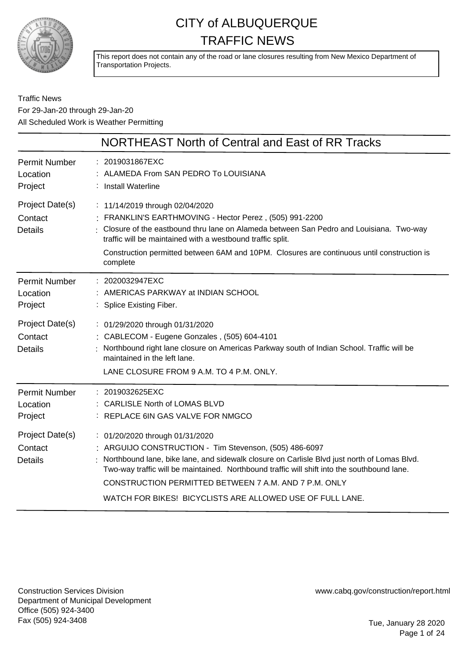

This report does not contain any of the road or lane closures resulting from New Mexico Department of Transportation Projects.

Traffic News For 29-Jan-20 through 29-Jan-20 All Scheduled Work is Weather Permitting

|                                              | NORTHEAST North of Central and East of RR Tracks                                                                                                                                                                                                                                                                                                                                                                |
|----------------------------------------------|-----------------------------------------------------------------------------------------------------------------------------------------------------------------------------------------------------------------------------------------------------------------------------------------------------------------------------------------------------------------------------------------------------------------|
| <b>Permit Number</b><br>Location<br>Project  | : 2019031867EXC<br>: ALAMEDA From SAN PEDRO To LOUISIANA<br>: Install Waterline                                                                                                                                                                                                                                                                                                                                 |
| Project Date(s)<br>Contact<br><b>Details</b> | : 11/14/2019 through 02/04/2020<br>: FRANKLIN'S EARTHMOVING - Hector Perez, (505) 991-2200<br>Closure of the eastbound thru lane on Alameda between San Pedro and Louisiana. Two-way<br>traffic will be maintained with a westbound traffic split.<br>Construction permitted between 6AM and 10PM. Closures are continuous until construction is<br>complete                                                    |
| <b>Permit Number</b><br>Location<br>Project  | : 2020032947EXC<br>: AMERICAS PARKWAY at INDIAN SCHOOL<br>: Splice Existing Fiber.                                                                                                                                                                                                                                                                                                                              |
| Project Date(s)<br>Contact<br><b>Details</b> | : 01/29/2020 through 01/31/2020<br>: CABLECOM - Eugene Gonzales, (505) 604-4101<br>Northbound right lane closure on Americas Parkway south of Indian School. Traffic will be<br>maintained in the left lane.<br>LANE CLOSURE FROM 9 A.M. TO 4 P.M. ONLY.                                                                                                                                                        |
| <b>Permit Number</b><br>Location<br>Project  | : 2019032625EXC<br>: CARLISLE North of LOMAS BLVD<br>: REPLACE 6IN GAS VALVE FOR NMGCO                                                                                                                                                                                                                                                                                                                          |
| Project Date(s)<br>Contact<br><b>Details</b> | : 01/20/2020 through 01/31/2020<br>: ARGUIJO CONSTRUCTION - Tim Stevenson, (505) 486-6097<br>: Northbound lane, bike lane, and sidewalk closure on Carlisle Blvd just north of Lomas Blvd.<br>Two-way traffic will be maintained. Northbound traffic will shift into the southbound lane.<br>CONSTRUCTION PERMITTED BETWEEN 7 A.M. AND 7 P.M. ONLY<br>WATCH FOR BIKES! BICYCLISTS ARE ALLOWED USE OF FULL LANE. |

Construction Services Division Department of Municipal Development Office (505) 924-3400 Fax (505) 924-3408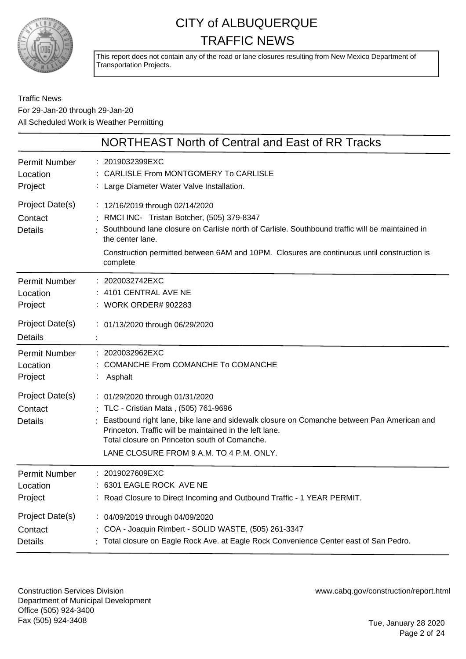

This report does not contain any of the road or lane closures resulting from New Mexico Department of Transportation Projects.

Traffic News For 29-Jan-20 through 29-Jan-20 All Scheduled Work is Weather Permitting

|                                              | NORTHEAST North of Central and East of RR Tracks                                                                                                                                                                                                                                                                                |
|----------------------------------------------|---------------------------------------------------------------------------------------------------------------------------------------------------------------------------------------------------------------------------------------------------------------------------------------------------------------------------------|
| <b>Permit Number</b>                         | : 2019032399EXC                                                                                                                                                                                                                                                                                                                 |
| Location                                     | <b>CARLISLE From MONTGOMERY To CARLISLE</b>                                                                                                                                                                                                                                                                                     |
| Project                                      | : Large Diameter Water Valve Installation.                                                                                                                                                                                                                                                                                      |
| Project Date(s)<br>Contact<br><b>Details</b> | : 12/16/2019 through 02/14/2020<br>RMCI INC- Tristan Botcher, (505) 379-8347<br>Southbound lane closure on Carlisle north of Carlisle. Southbound traffic will be maintained in<br>the center lane.<br>Construction permitted between 6AM and 10PM. Closures are continuous until construction is<br>complete                   |
| <b>Permit Number</b>                         | : 2020032742EXC                                                                                                                                                                                                                                                                                                                 |
| Location                                     | 4101 CENTRAL AVE NE                                                                                                                                                                                                                                                                                                             |
| Project                                      | : WORK ORDER# 902283                                                                                                                                                                                                                                                                                                            |
| Project Date(s)<br><b>Details</b>            | : 01/13/2020 through 06/29/2020                                                                                                                                                                                                                                                                                                 |
| <b>Permit Number</b>                         | : 2020032962EXC                                                                                                                                                                                                                                                                                                                 |
| Location                                     | <b>COMANCHE From COMANCHE To COMANCHE</b>                                                                                                                                                                                                                                                                                       |
| Project                                      | Asphalt                                                                                                                                                                                                                                                                                                                         |
| Project Date(s)<br>Contact<br><b>Details</b> | : 01/29/2020 through 01/31/2020<br>: TLC - Cristian Mata, (505) 761-9696<br>: Eastbound right lane, bike lane and sidewalk closure on Comanche between Pan American and<br>Princeton. Traffic will be maintained in the left lane.<br>Total closure on Princeton south of Comanche.<br>LANE CLOSURE FROM 9 A.M. TO 4 P.M. ONLY. |
| Permit Number                                | : 2019027609EXC                                                                                                                                                                                                                                                                                                                 |
| Location                                     | 6301 EAGLE ROCK AVE NE                                                                                                                                                                                                                                                                                                          |
| Project                                      | : Road Closure to Direct Incoming and Outbound Traffic - 1 YEAR PERMIT.                                                                                                                                                                                                                                                         |
| Project Date(s)                              | : 04/09/2019 through 04/09/2020                                                                                                                                                                                                                                                                                                 |
| Contact                                      | : COA - Joaquin Rimbert - SOLID WASTE, (505) 261-3347                                                                                                                                                                                                                                                                           |
| <b>Details</b>                               | Total closure on Eagle Rock Ave. at Eagle Rock Convenience Center east of San Pedro.                                                                                                                                                                                                                                            |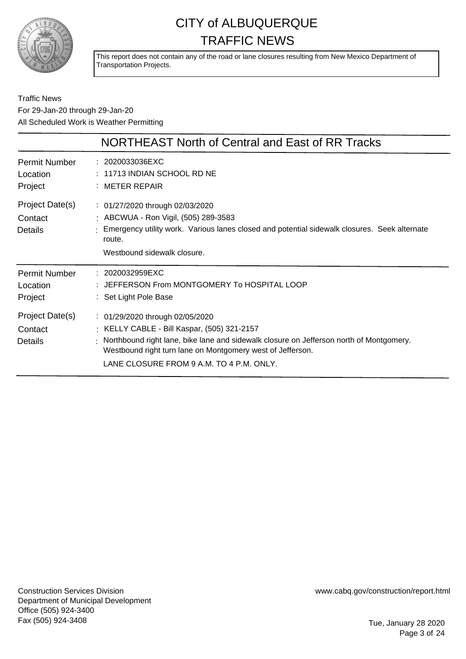

This report does not contain any of the road or lane closures resulting from New Mexico Department of Transportation Projects.

Traffic News For 29-Jan-20 through 29-Jan-20 All Scheduled Work is Weather Permitting

|                                              | NORTHEAST North of Central and East of RR Tracks                                                                                                                                                                                                                                    |
|----------------------------------------------|-------------------------------------------------------------------------------------------------------------------------------------------------------------------------------------------------------------------------------------------------------------------------------------|
| Permit Number<br>Location<br>Project         | $: 2020033036$ EXC<br>$\pm$ 11713 INDIAN SCHOOL RD NE<br>$:$ METER REPAIR                                                                                                                                                                                                           |
| Project Date(s)<br>Contact<br><b>Details</b> | : 01/27/2020 through 02/03/2020<br>: ABCWUA - Ron Vigil, (505) 289-3583<br>: Emergency utility work. Various lanes closed and potential sidewalk closures. Seek alternate<br>route.<br>Westbound sidewalk closure.                                                                  |
| <b>Permit Number</b><br>Location<br>Project  | : 2020032959EXC<br>: JEFFERSON From MONTGOMERY To HOSPITAL LOOP<br>: Set Light Pole Base                                                                                                                                                                                            |
| Project Date(s)<br>Contact<br>Details        | : 01/29/2020 through 02/05/2020<br>: KELLY CABLE - Bill Kaspar, (505) 321-2157<br>Northbound right lane, bike lane and sidewalk closure on Jefferson north of Montgomery.<br>Westbound right turn lane on Montgomery west of Jefferson.<br>LANE CLOSURE FROM 9 A.M. TO 4 P.M. ONLY. |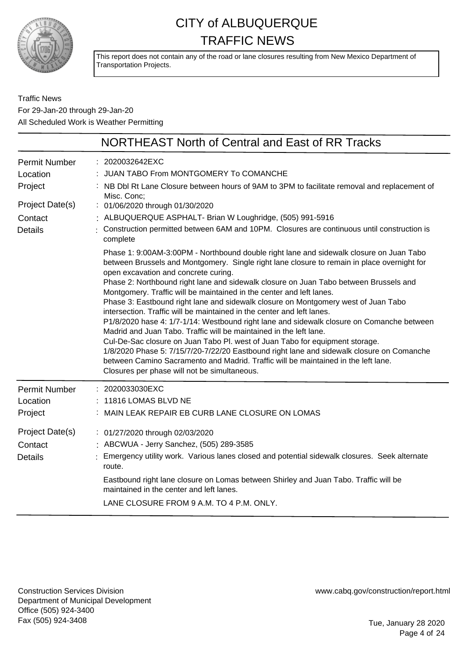

This report does not contain any of the road or lane closures resulting from New Mexico Department of Transportation Projects.

Traffic News For 29-Jan-20 through 29-Jan-20 All Scheduled Work is Weather Permitting

|                                                                | NORTHEAST North of Central and East of RR Tracks                                                                                                                                                                                                                                                                                                                                                                                                                                                                                                                                                                                                                                                                                                                                                                                                                                                                                                                                                                                                      |
|----------------------------------------------------------------|-------------------------------------------------------------------------------------------------------------------------------------------------------------------------------------------------------------------------------------------------------------------------------------------------------------------------------------------------------------------------------------------------------------------------------------------------------------------------------------------------------------------------------------------------------------------------------------------------------------------------------------------------------------------------------------------------------------------------------------------------------------------------------------------------------------------------------------------------------------------------------------------------------------------------------------------------------------------------------------------------------------------------------------------------------|
| <b>Permit Number</b><br>Location<br>Project<br>Project Date(s) | : 2020032642EXC<br>: JUAN TABO From MONTGOMERY To COMANCHE<br>: NB Dbl Rt Lane Closure between hours of 9AM to 3PM to facilitate removal and replacement of<br>Misc. Conc;<br>: 01/06/2020 through 01/30/2020                                                                                                                                                                                                                                                                                                                                                                                                                                                                                                                                                                                                                                                                                                                                                                                                                                         |
| Contact                                                        | : ALBUQUERQUE ASPHALT- Brian W Loughridge, (505) 991-5916                                                                                                                                                                                                                                                                                                                                                                                                                                                                                                                                                                                                                                                                                                                                                                                                                                                                                                                                                                                             |
| <b>Details</b>                                                 | : Construction permitted between 6AM and 10PM. Closures are continuous until construction is<br>complete                                                                                                                                                                                                                                                                                                                                                                                                                                                                                                                                                                                                                                                                                                                                                                                                                                                                                                                                              |
|                                                                | Phase 1: 9:00AM-3:00PM - Northbound double right lane and sidewalk closure on Juan Tabo<br>between Brussels and Montgomery. Single right lane closure to remain in place overnight for<br>open excavation and concrete curing.<br>Phase 2: Northbound right lane and sidewalk closure on Juan Tabo between Brussels and<br>Montgomery. Traffic will be maintained in the center and left lanes.<br>Phase 3: Eastbound right lane and sidewalk closure on Montgomery west of Juan Tabo<br>intersection. Traffic will be maintained in the center and left lanes.<br>P1/8/2020 hase 4: 1/7-1/14: Westbound right lane and sidewalk closure on Comanche between<br>Madrid and Juan Tabo. Traffic will be maintained in the left lane.<br>Cul-De-Sac closure on Juan Tabo Pl. west of Juan Tabo for equipment storage.<br>1/8/2020 Phase 5: 7/15/7/20-7/22/20 Eastbound right lane and sidewalk closure on Comanche<br>between Camino Sacramento and Madrid. Traffic will be maintained in the left lane.<br>Closures per phase will not be simultaneous. |
| <b>Permit Number</b>                                           | : 2020033030EXC                                                                                                                                                                                                                                                                                                                                                                                                                                                                                                                                                                                                                                                                                                                                                                                                                                                                                                                                                                                                                                       |
| Location                                                       | : 11816 LOMAS BLVD NE                                                                                                                                                                                                                                                                                                                                                                                                                                                                                                                                                                                                                                                                                                                                                                                                                                                                                                                                                                                                                                 |
| Project                                                        | : MAIN LEAK REPAIR EB CURB LANE CLOSURE ON LOMAS                                                                                                                                                                                                                                                                                                                                                                                                                                                                                                                                                                                                                                                                                                                                                                                                                                                                                                                                                                                                      |
| Project Date(s)<br>Contact<br><b>Details</b>                   | : 01/27/2020 through 02/03/2020<br>: ABCWUA - Jerry Sanchez, (505) 289-3585<br>Emergency utility work. Various lanes closed and potential sidewalk closures. Seek alternate<br>route.<br>Eastbound right lane closure on Lomas between Shirley and Juan Tabo. Traffic will be                                                                                                                                                                                                                                                                                                                                                                                                                                                                                                                                                                                                                                                                                                                                                                         |
|                                                                | maintained in the center and left lanes.<br>LANE CLOSURE FROM 9 A.M. TO 4 P.M. ONLY.                                                                                                                                                                                                                                                                                                                                                                                                                                                                                                                                                                                                                                                                                                                                                                                                                                                                                                                                                                  |
|                                                                |                                                                                                                                                                                                                                                                                                                                                                                                                                                                                                                                                                                                                                                                                                                                                                                                                                                                                                                                                                                                                                                       |

Construction Services Division Department of Municipal Development Office (505) 924-3400 Fax (505) 924-3408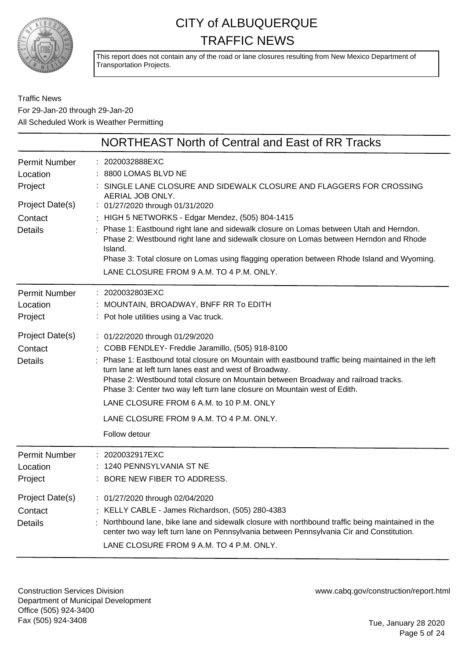

This report does not contain any of the road or lane closures resulting from New Mexico Department of Transportation Projects.

Traffic News For 29-Jan-20 through 29-Jan-20 All Scheduled Work is Weather Permitting

|                                                                           | NORTHEAST North of Central and East of RR Tracks                                                                                                                                                                                                                                                                                                                           |
|---------------------------------------------------------------------------|----------------------------------------------------------------------------------------------------------------------------------------------------------------------------------------------------------------------------------------------------------------------------------------------------------------------------------------------------------------------------|
| <b>Permit Number</b><br>Location<br>Project<br>Project Date(s)<br>Contact | 2020032888EXC<br>8800 LOMAS BLVD NE<br>SINGLE LANE CLOSURE AND SIDEWALK CLOSURE AND FLAGGERS FOR CROSSING<br>AERIAL JOB ONLY.<br>: 01/27/2020 through 01/31/2020<br>: HIGH 5 NETWORKS - Edgar Mendez, (505) 804-1415                                                                                                                                                       |
| <b>Details</b>                                                            | Phase 1: Eastbound right lane and sidewalk closure on Lomas between Utah and Herndon.<br>Phase 2: Westbound right lane and sidewalk closure on Lomas between Herndon and Rhode<br>Island.<br>Phase 3: Total closure on Lomas using flagging operation between Rhode Island and Wyoming.<br>LANE CLOSURE FROM 9 A.M. TO 4 P.M. ONLY.                                        |
| <b>Permit Number</b>                                                      | : 2020032803EXC                                                                                                                                                                                                                                                                                                                                                            |
| Location                                                                  | : MOUNTAIN, BROADWAY, BNFF RR To EDITH                                                                                                                                                                                                                                                                                                                                     |
| Project                                                                   | : Pot hole utilities using a Vac truck.                                                                                                                                                                                                                                                                                                                                    |
| Project Date(s)                                                           | : 01/22/2020 through 01/29/2020                                                                                                                                                                                                                                                                                                                                            |
| Contact                                                                   | : COBB FENDLEY- Freddie Jaramillo, (505) 918-8100                                                                                                                                                                                                                                                                                                                          |
| <b>Details</b>                                                            | Phase 1: Eastbound total closure on Mountain with eastbound traffic being maintained in the left<br>turn lane at left turn lanes east and west of Broadway.<br>Phase 2: Westbound total closure on Mountain between Broadway and railroad tracks.<br>Phase 3: Center two way left turn lane closure on Mountain west of Edith.<br>LANE CLOSURE FROM 6 A.M. to 10 P.M. ONLY |
|                                                                           | LANE CLOSURE FROM 9 A.M. TO 4 P.M. ONLY.                                                                                                                                                                                                                                                                                                                                   |
|                                                                           | Follow detour                                                                                                                                                                                                                                                                                                                                                              |
| <b>Permit Number</b><br>Location<br>Project                               | 2020032917EXC<br>1240 PENNSYLVANIA ST NE<br>: BORE NEW FIBER TO ADDRESS.                                                                                                                                                                                                                                                                                                   |
| Project Date(s)                                                           | : 01/27/2020 through 02/04/2020                                                                                                                                                                                                                                                                                                                                            |
| Contact                                                                   | : KELLY CABLE - James Richardson, (505) 280-4383                                                                                                                                                                                                                                                                                                                           |
| <b>Details</b>                                                            | Northbound lane, bike lane and sidewalk closure with northbound traffic being maintained in the<br>center two way left turn lane on Pennsylvania between Pennsylvania Cir and Constitution.<br>LANE CLOSURE FROM 9 A.M. TO 4 P.M. ONLY.                                                                                                                                    |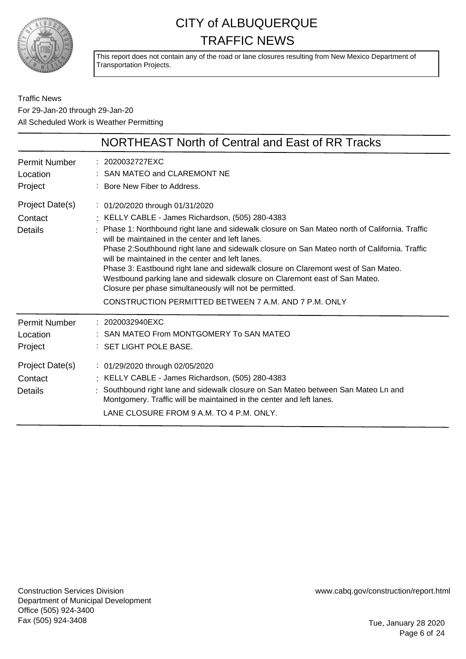

This report does not contain any of the road or lane closures resulting from New Mexico Department of Transportation Projects.

Traffic News For 29-Jan-20 through 29-Jan-20 All Scheduled Work is Weather Permitting

|                                              | NORTHEAST North of Central and East of RR Tracks                                                                                                                                                                                                                                                                                                                                                                                                                                                                                                                                                                                                                                       |
|----------------------------------------------|----------------------------------------------------------------------------------------------------------------------------------------------------------------------------------------------------------------------------------------------------------------------------------------------------------------------------------------------------------------------------------------------------------------------------------------------------------------------------------------------------------------------------------------------------------------------------------------------------------------------------------------------------------------------------------------|
| <b>Permit Number</b><br>Location<br>Project  | : 2020032727EXC<br>SAN MATEO and CLAREMONT NE<br>: Bore New Fiber to Address.                                                                                                                                                                                                                                                                                                                                                                                                                                                                                                                                                                                                          |
| Project Date(s)<br>Contact<br>Details        | : 01/20/2020 through 01/31/2020<br>: KELLY CABLE - James Richardson, (505) 280-4383<br>Phase 1: Northbound right lane and sidewalk closure on San Mateo north of California. Traffic<br>will be maintained in the center and left lanes.<br>Phase 2: Southbound right lane and sidewalk closure on San Mateo north of California. Traffic<br>will be maintained in the center and left lanes.<br>Phase 3: Eastbound right lane and sidewalk closure on Claremont west of San Mateo.<br>Westbound parking lane and sidewalk closure on Claremont east of San Mateo.<br>Closure per phase simultaneously will not be permitted.<br>CONSTRUCTION PERMITTED BETWEEN 7 A.M. AND 7 P.M. ONLY |
| <b>Permit Number</b><br>Location<br>Project  | $: 2020032940 \text{EXC}$<br>: SAN MATEO From MONTGOMERY To SAN MATEO<br>: SET LIGHT POLE BASE.                                                                                                                                                                                                                                                                                                                                                                                                                                                                                                                                                                                        |
| Project Date(s)<br>Contact<br><b>Details</b> | : 01/29/2020 through 02/05/2020<br>: KELLY CABLE - James Richardson, (505) 280-4383<br>Southbound right lane and sidewalk closure on San Mateo between San Mateo Ln and<br>Montgomery. Traffic will be maintained in the center and left lanes.<br>LANE CLOSURE FROM 9 A.M. TO 4 P.M. ONLY.                                                                                                                                                                                                                                                                                                                                                                                            |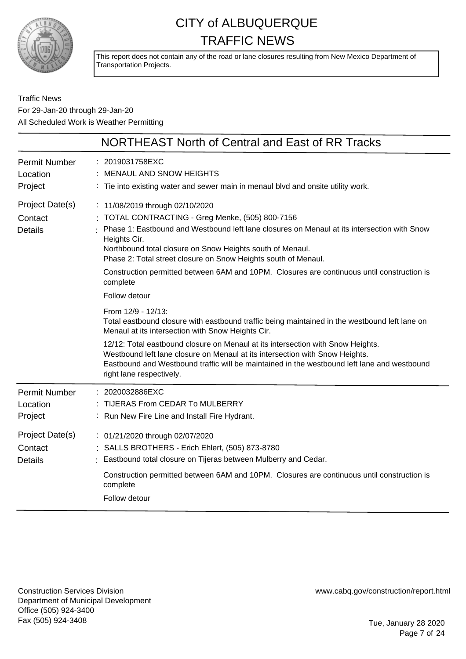

This report does not contain any of the road or lane closures resulting from New Mexico Department of Transportation Projects.

Traffic News For 29-Jan-20 through 29-Jan-20 All Scheduled Work is Weather Permitting

|                                              | NORTHEAST North of Central and East of RR Tracks                                                                                                                                                                                                                                                                                                                                                                                                            |
|----------------------------------------------|-------------------------------------------------------------------------------------------------------------------------------------------------------------------------------------------------------------------------------------------------------------------------------------------------------------------------------------------------------------------------------------------------------------------------------------------------------------|
| <b>Permit Number</b><br>Location<br>Project  | : 2019031758EXC<br>MENAUL AND SNOW HEIGHTS<br>: Tie into existing water and sewer main in menaul blvd and onsite utility work.                                                                                                                                                                                                                                                                                                                              |
| Project Date(s)<br>Contact<br><b>Details</b> | : 11/08/2019 through 02/10/2020<br>TOTAL CONTRACTING - Greg Menke, (505) 800-7156<br>: Phase 1: Eastbound and Westbound left lane closures on Menaul at its intersection with Snow<br>Heights Cir.<br>Northbound total closure on Snow Heights south of Menaul.<br>Phase 2: Total street closure on Snow Heights south of Menaul.<br>Construction permitted between 6AM and 10PM. Closures are continuous until construction is<br>complete                 |
|                                              | Follow detour<br>From 12/9 - 12/13:<br>Total eastbound closure with eastbound traffic being maintained in the westbound left lane on<br>Menaul at its intersection with Snow Heights Cir.<br>12/12: Total eastbound closure on Menaul at its intersection with Snow Heights.<br>Westbound left lane closure on Menaul at its intersection with Snow Heights.<br>Eastbound and Westbound traffic will be maintained in the westbound left lane and westbound |
| <b>Permit Number</b><br>Location<br>Project  | right lane respectively.<br>: 2020032886EXC<br>TIJERAS From CEDAR To MULBERRY<br>: Run New Fire Line and Install Fire Hydrant.                                                                                                                                                                                                                                                                                                                              |
| Project Date(s)<br>Contact<br><b>Details</b> | : 01/21/2020 through 02/07/2020<br>: SALLS BROTHERS - Erich Ehlert, (505) 873-8780<br>: Eastbound total closure on Tijeras between Mulberry and Cedar.<br>Construction permitted between 6AM and 10PM. Closures are continuous until construction is<br>complete<br>Follow detour                                                                                                                                                                           |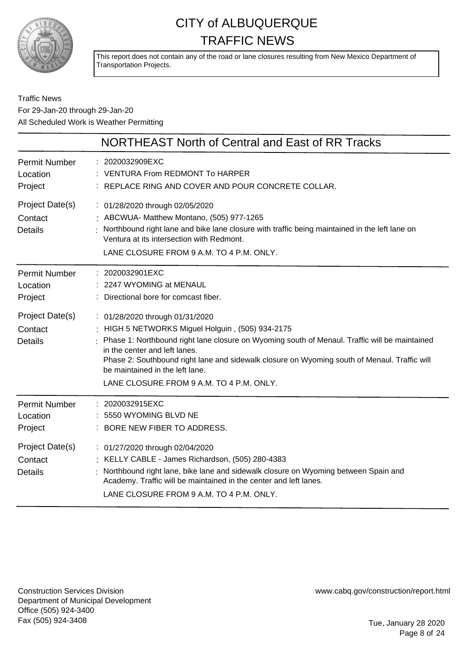

This report does not contain any of the road or lane closures resulting from New Mexico Department of Transportation Projects.

#### Traffic News For 29-Jan-20 through 29-Jan-20 All Scheduled Work is Weather Permitting

|                                              | NORTHEAST North of Central and East of RR Tracks                                                                                                                                                                                                                                                                                                                                                       |
|----------------------------------------------|--------------------------------------------------------------------------------------------------------------------------------------------------------------------------------------------------------------------------------------------------------------------------------------------------------------------------------------------------------------------------------------------------------|
| <b>Permit Number</b><br>Location<br>Project  | : 2020032909EXC<br>: VENTURA From REDMONT To HARPER<br>: REPLACE RING AND COVER AND POUR CONCRETE COLLAR.                                                                                                                                                                                                                                                                                              |
| Project Date(s)<br>Contact<br><b>Details</b> | : 01/28/2020 through 02/05/2020<br>: ABCWUA- Matthew Montano, (505) 977-1265<br>Northbound right lane and bike lane closure with traffic being maintained in the left lane on<br>Ventura at its intersection with Redmont.<br>LANE CLOSURE FROM 9 A.M. TO 4 P.M. ONLY.                                                                                                                                 |
| <b>Permit Number</b><br>Location<br>Project  | : 2020032901EXC<br>: 2247 WYOMING at MENAUL<br>: Directional bore for comcast fiber.                                                                                                                                                                                                                                                                                                                   |
| Project Date(s)<br>Contact<br><b>Details</b> | : 01/28/2020 through 01/31/2020<br>: HIGH 5 NETWORKS Miguel Holguin, (505) 934-2175<br>: Phase 1: Northbound right lane closure on Wyoming south of Menaul. Traffic will be maintained<br>in the center and left lanes.<br>Phase 2: Southbound right lane and sidewalk closure on Wyoming south of Menaul. Traffic will<br>be maintained in the left lane.<br>LANE CLOSURE FROM 9 A.M. TO 4 P.M. ONLY. |
| <b>Permit Number</b><br>Location<br>Project  | : 2020032915EXC<br>5550 WYOMING BLVD NE<br>: BORE NEW FIBER TO ADDRESS.                                                                                                                                                                                                                                                                                                                                |
| Project Date(s)<br>Contact<br><b>Details</b> | : 01/27/2020 through 02/04/2020<br>: KELLY CABLE - James Richardson, (505) 280-4383<br>Northbound right lane, bike lane and sidewalk closure on Wyoming between Spain and<br>Academy. Traffic will be maintained in the center and left lanes.<br>LANE CLOSURE FROM 9 A.M. TO 4 P.M. ONLY.                                                                                                             |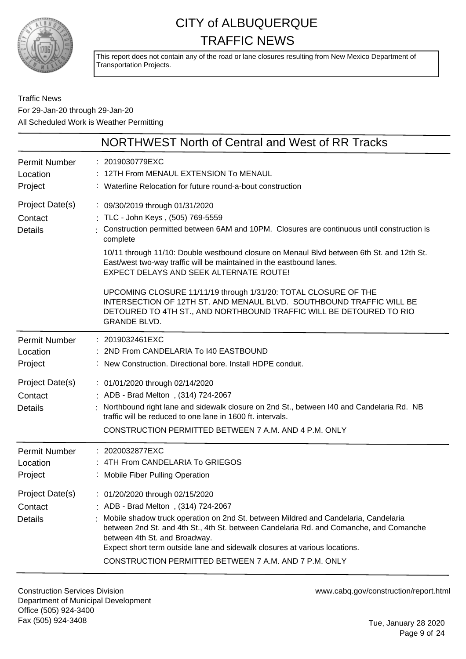

This report does not contain any of the road or lane closures resulting from New Mexico Department of Transportation Projects.

Traffic News For 29-Jan-20 through 29-Jan-20 All Scheduled Work is Weather Permitting

|                                              | NORTHWEST North of Central and West of RR Tracks                                                                                                                                                                                                                                                                                                                                                                                                                                                                                                                                                                                               |
|----------------------------------------------|------------------------------------------------------------------------------------------------------------------------------------------------------------------------------------------------------------------------------------------------------------------------------------------------------------------------------------------------------------------------------------------------------------------------------------------------------------------------------------------------------------------------------------------------------------------------------------------------------------------------------------------------|
| Permit Number<br>Location<br>Project         | : 2019030779EXC<br>12TH From MENAUL EXTENSION To MENAUL<br>: Waterline Relocation for future round-a-bout construction                                                                                                                                                                                                                                                                                                                                                                                                                                                                                                                         |
| Project Date(s)<br>Contact<br><b>Details</b> | : 09/30/2019 through 01/31/2020<br>: TLC - John Keys, (505) 769-5559<br>Construction permitted between 6AM and 10PM. Closures are continuous until construction is<br>complete<br>10/11 through 11/10: Double westbound closure on Menaul Blvd between 6th St. and 12th St.<br>East/west two-way traffic will be maintained in the eastbound lanes.<br><b>EXPECT DELAYS AND SEEK ALTERNATE ROUTE!</b><br>UPCOMING CLOSURE 11/11/19 through 1/31/20: TOTAL CLOSURE OF THE<br>INTERSECTION OF 12TH ST. AND MENAUL BLVD. SOUTHBOUND TRAFFIC WILL BE<br>DETOURED TO 4TH ST., AND NORTHBOUND TRAFFIC WILL BE DETOURED TO RIO<br><b>GRANDE BLVD.</b> |
| Permit Number<br>Location<br>Project         | : 2019032461EXC<br>2ND From CANDELARIA To 140 EASTBOUND<br>: New Construction. Directional bore. Install HDPE conduit.                                                                                                                                                                                                                                                                                                                                                                                                                                                                                                                         |
| Project Date(s)<br>Contact<br><b>Details</b> | : 01/01/2020 through 02/14/2020<br>: ADB - Brad Melton, (314) 724-2067<br>: Northbound right lane and sidewalk closure on 2nd St., between I40 and Candelaria Rd. NB<br>traffic will be reduced to one lane in 1600 ft. intervals.<br>CONSTRUCTION PERMITTED BETWEEN 7 A.M. AND 4 P.M. ONLY                                                                                                                                                                                                                                                                                                                                                    |
| <b>Permit Number</b><br>Location<br>Project  | : 2020032877EXC<br>: 4TH From CANDELARIA To GRIEGOS<br>: Mobile Fiber Pulling Operation                                                                                                                                                                                                                                                                                                                                                                                                                                                                                                                                                        |
| Project Date(s)<br>Contact<br><b>Details</b> | : 01/20/2020 through 02/15/2020<br>ADB - Brad Melton, (314) 724-2067<br>Mobile shadow truck operation on 2nd St. between Mildred and Candelaria, Candelaria<br>between 2nd St. and 4th St., 4th St. between Candelaria Rd. and Comanche, and Comanche<br>between 4th St. and Broadway.<br>Expect short term outside lane and sidewalk closures at various locations.<br>CONSTRUCTION PERMITTED BETWEEN 7 A.M. AND 7 P.M. ONLY                                                                                                                                                                                                                  |

Construction Services Division Department of Municipal Development Office (505) 924-3400 Fax (505) 924-3408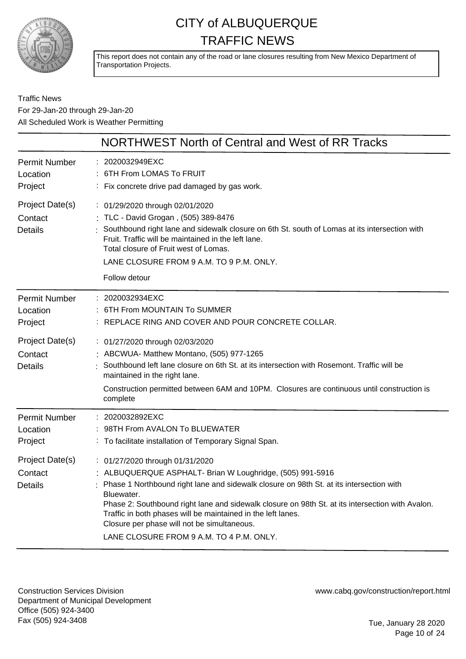

This report does not contain any of the road or lane closures resulting from New Mexico Department of Transportation Projects.

Traffic News For 29-Jan-20 through 29-Jan-20 All Scheduled Work is Weather Permitting

|                                              | NORTHWEST North of Central and West of RR Tracks                                                                                                                                                                                                                                                                                                                                                                                                                     |
|----------------------------------------------|----------------------------------------------------------------------------------------------------------------------------------------------------------------------------------------------------------------------------------------------------------------------------------------------------------------------------------------------------------------------------------------------------------------------------------------------------------------------|
| <b>Permit Number</b><br>Location<br>Project  | : 2020032949EXC<br>6TH From LOMAS To FRUIT<br>Fix concrete drive pad damaged by gas work.                                                                                                                                                                                                                                                                                                                                                                            |
| Project Date(s)<br>Contact<br><b>Details</b> | : 01/29/2020 through 02/01/2020<br>: TLC - David Grogan, (505) 389-8476<br>Southbound right lane and sidewalk closure on 6th St. south of Lomas at its intersection with<br>Fruit. Traffic will be maintained in the left lane.<br>Total closure of Fruit west of Lomas.<br>LANE CLOSURE FROM 9 A.M. TO 9 P.M. ONLY.<br>Follow detour                                                                                                                                |
| <b>Permit Number</b><br>Location<br>Project  | : 2020032934EXC<br>6TH From MOUNTAIN To SUMMER<br>REPLACE RING AND COVER AND POUR CONCRETE COLLAR.                                                                                                                                                                                                                                                                                                                                                                   |
| Project Date(s)<br>Contact<br><b>Details</b> | : 01/27/2020 through 02/03/2020<br>: ABCWUA- Matthew Montano, (505) 977-1265<br>Southbound left lane closure on 6th St. at its intersection with Rosemont. Traffic will be<br>maintained in the right lane.<br>Construction permitted between 6AM and 10PM. Closures are continuous until construction is<br>complete                                                                                                                                                |
| <b>Permit Number</b><br>Location<br>Project  | : 2020032892EXC<br>98TH From AVALON To BLUEWATER<br>: To facilitate installation of Temporary Signal Span.                                                                                                                                                                                                                                                                                                                                                           |
| Project Date(s)<br>Contact<br><b>Details</b> | : 01/27/2020 through 01/31/2020<br>: ALBUQUERQUE ASPHALT- Brian W Loughridge, (505) 991-5916<br>Phase 1 Northbound right lane and sidewalk closure on 98th St. at its intersection with<br>Bluewater.<br>Phase 2: Southbound right lane and sidewalk closure on 98th St. at its intersection with Avalon.<br>Traffic in both phases will be maintained in the left lanes.<br>Closure per phase will not be simultaneous.<br>LANE CLOSURE FROM 9 A.M. TO 4 P.M. ONLY. |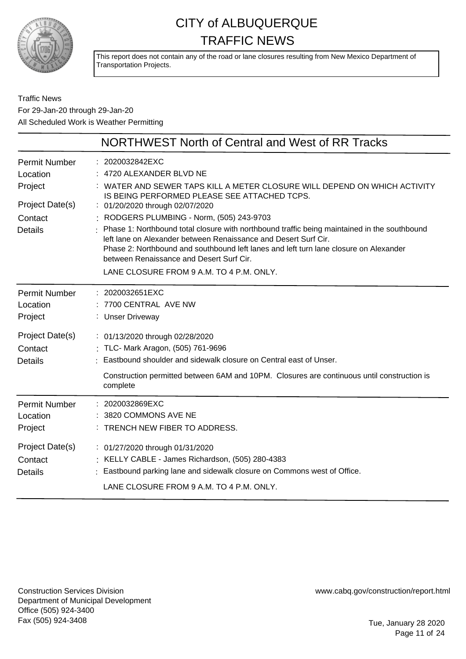

This report does not contain any of the road or lane closures resulting from New Mexico Department of Transportation Projects.

Traffic News For 29-Jan-20 through 29-Jan-20 All Scheduled Work is Weather Permitting

| NORTHWEST North of Central and West of RR Tracks                                                                                                                                                                                                                                                                                                                                                                                                                                                                                                                                                         |
|----------------------------------------------------------------------------------------------------------------------------------------------------------------------------------------------------------------------------------------------------------------------------------------------------------------------------------------------------------------------------------------------------------------------------------------------------------------------------------------------------------------------------------------------------------------------------------------------------------|
| : 2020032842EXC<br>4720 ALEXANDER BLVD NE<br>WATER AND SEWER TAPS KILL A METER CLOSURE WILL DEPEND ON WHICH ACTIVITY<br>IS BEING PERFORMED PLEASE SEE ATTACHED TCPS.<br>: 01/20/2020 through 02/07/2020<br>: RODGERS PLUMBING - Norm, (505) 243-9703<br>Phase 1: Northbound total closure with northbound traffic being maintained in the southbound<br>left lane on Alexander between Renaissance and Desert Surf Cir.<br>Phase 2: Northbound and southbound left lanes and left turn lane closure on Alexander<br>between Renaissance and Desert Surf Cir.<br>LANE CLOSURE FROM 9 A.M. TO 4 P.M. ONLY. |
| : 2020032651EXC<br>7700 CENTRAL AVE NW<br>: Unser Driveway                                                                                                                                                                                                                                                                                                                                                                                                                                                                                                                                               |
| : 01/13/2020 through 02/28/2020<br>: TLC- Mark Aragon, (505) 761-9696<br>Eastbound shoulder and sidewalk closure on Central east of Unser.<br>Construction permitted between 6AM and 10PM. Closures are continuous until construction is<br>complete                                                                                                                                                                                                                                                                                                                                                     |
| 2020032869EXC<br>3820 COMMONS AVE NE<br>: TRENCH NEW FIBER TO ADDRESS.<br>: 01/27/2020 through 01/31/2020<br>: KELLY CABLE - James Richardson, (505) 280-4383<br>: Eastbound parking lane and sidewalk closure on Commons west of Office.<br>LANE CLOSURE FROM 9 A.M. TO 4 P.M. ONLY.                                                                                                                                                                                                                                                                                                                    |
|                                                                                                                                                                                                                                                                                                                                                                                                                                                                                                                                                                                                          |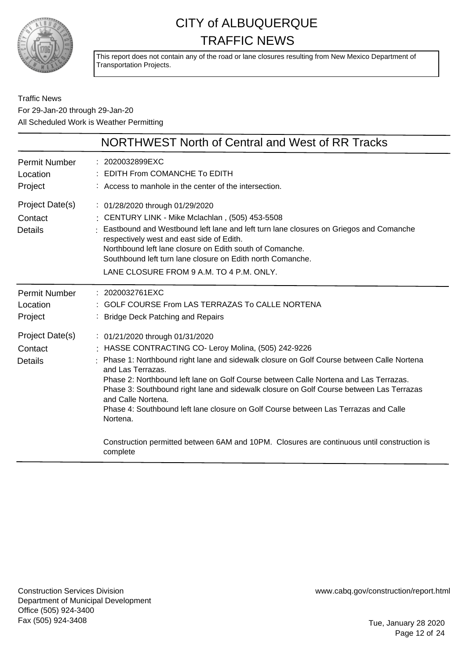

This report does not contain any of the road or lane closures resulting from New Mexico Department of Transportation Projects.

Traffic News For 29-Jan-20 through 29-Jan-20 All Scheduled Work is Weather Permitting

|                                              | NORTHWEST North of Central and West of RR Tracks                                                                                                                                                                                                                                                                                                                                                                                                                                                                                                                                                                               |
|----------------------------------------------|--------------------------------------------------------------------------------------------------------------------------------------------------------------------------------------------------------------------------------------------------------------------------------------------------------------------------------------------------------------------------------------------------------------------------------------------------------------------------------------------------------------------------------------------------------------------------------------------------------------------------------|
| <b>Permit Number</b><br>Location<br>Project  | : 2020032899EXC<br><b>EDITH From COMANCHE To EDITH</b><br>: Access to manhole in the center of the intersection.                                                                                                                                                                                                                                                                                                                                                                                                                                                                                                               |
| Project Date(s)<br>Contact<br><b>Details</b> | : 01/28/2020 through 01/29/2020<br>: CENTURY LINK - Mike Mclachlan, (505) 453-5508<br>: Eastbound and Westbound left lane and left turn lane closures on Griegos and Comanche<br>respectively west and east side of Edith.<br>Northbound left lane closure on Edith south of Comanche.<br>Southbound left turn lane closure on Edith north Comanche.<br>LANE CLOSURE FROM 9 A.M. TO 4 P.M. ONLY.                                                                                                                                                                                                                               |
| Permit Number<br>Location<br>Project         | $: 2020032761$ EXC<br><b>GOLF COURSE From LAS TERRAZAS To CALLE NORTENA</b><br><b>Bridge Deck Patching and Repairs</b>                                                                                                                                                                                                                                                                                                                                                                                                                                                                                                         |
| Project Date(s)<br>Contact<br><b>Details</b> | : 01/21/2020 through 01/31/2020<br>HASSE CONTRACTING CO- Leroy Molina, (505) 242-9226<br>: Phase 1: Northbound right lane and sidewalk closure on Golf Course between Calle Nortena<br>and Las Terrazas.<br>Phase 2: Northbound left lane on Golf Course between Calle Nortena and Las Terrazas.<br>Phase 3: Southbound right lane and sidewalk closure on Golf Course between Las Terrazas<br>and Calle Nortena.<br>Phase 4: Southbound left lane closure on Golf Course between Las Terrazas and Calle<br>Nortena.<br>Construction permitted between 6AM and 10PM. Closures are continuous until construction is<br>complete |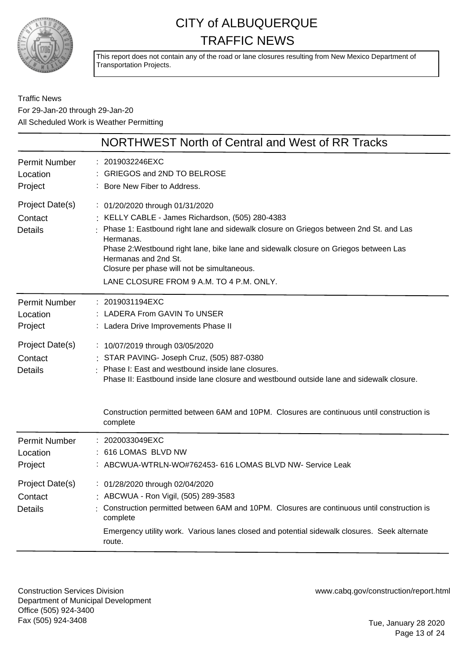

This report does not contain any of the road or lane closures resulting from New Mexico Department of Transportation Projects.

Traffic News For 29-Jan-20 through 29-Jan-20 All Scheduled Work is Weather Permitting

|                                              | NORTHWEST North of Central and West of RR Tracks                                                                                                                                                                                                                                                                                                                                                       |
|----------------------------------------------|--------------------------------------------------------------------------------------------------------------------------------------------------------------------------------------------------------------------------------------------------------------------------------------------------------------------------------------------------------------------------------------------------------|
| <b>Permit Number</b><br>Location<br>Project  | : 2019032246EXC<br>GRIEGOS and 2ND TO BELROSE<br>: Bore New Fiber to Address.                                                                                                                                                                                                                                                                                                                          |
| Project Date(s)<br>Contact<br><b>Details</b> | : 01/20/2020 through 01/31/2020<br>: KELLY CABLE - James Richardson, (505) 280-4383<br>: Phase 1: Eastbound right lane and sidewalk closure on Griegos between 2nd St. and Las<br>Hermanas.<br>Phase 2: Westbound right lane, bike lane and sidewalk closure on Griegos between Las<br>Hermanas and 2nd St.<br>Closure per phase will not be simultaneous.<br>LANE CLOSURE FROM 9 A.M. TO 4 P.M. ONLY. |
| <b>Permit Number</b><br>Location<br>Project  | : 2019031194EXC<br>: LADERA From GAVIN To UNSER<br>: Ladera Drive Improvements Phase II                                                                                                                                                                                                                                                                                                                |
| Project Date(s)<br>Contact<br><b>Details</b> | : 10/07/2019 through 03/05/2020<br>: STAR PAVING- Joseph Cruz, (505) 887-0380<br>: Phase I: East and westbound inside lane closures.<br>Phase II: Eastbound inside lane closure and westbound outside lane and sidewalk closure.<br>Construction permitted between 6AM and 10PM. Closures are continuous until construction is                                                                         |
|                                              | complete                                                                                                                                                                                                                                                                                                                                                                                               |
| <b>Permit Number</b><br>Location<br>Project  | : 2020033049EXC<br>: 616 LOMAS BLVD NW<br>: ABCWUA-WTRLN-WO#762453- 616 LOMAS BLVD NW- Service Leak                                                                                                                                                                                                                                                                                                    |
| Project Date(s)<br>Contact<br><b>Details</b> | : 01/28/2020 through 02/04/2020<br>: ABCWUA - Ron Vigil, (505) 289-3583<br>Construction permitted between 6AM and 10PM. Closures are continuous until construction is<br>complete<br>Emergency utility work. Various lanes closed and potential sidewalk closures. Seek alternate<br>route.                                                                                                            |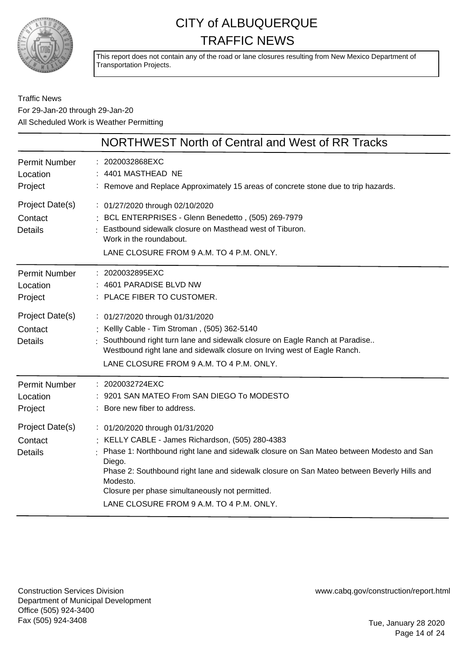

This report does not contain any of the road or lane closures resulting from New Mexico Department of Transportation Projects.

#### Traffic News For 29-Jan-20 through 29-Jan-20 All Scheduled Work is Weather Permitting

|                                              | NORTHWEST North of Central and West of RR Tracks                                                                                                                                                                                                                                                                                                                                                   |
|----------------------------------------------|----------------------------------------------------------------------------------------------------------------------------------------------------------------------------------------------------------------------------------------------------------------------------------------------------------------------------------------------------------------------------------------------------|
| Permit Number<br>Location<br>Project         | : 2020032868EXC<br>4401 MASTHEAD NE<br>: Remove and Replace Approximately 15 areas of concrete stone due to trip hazards.                                                                                                                                                                                                                                                                          |
| Project Date(s)<br>Contact<br><b>Details</b> | : 01/27/2020 through 02/10/2020<br>: BCL ENTERPRISES - Glenn Benedetto, (505) 269-7979<br>Eastbound sidewalk closure on Masthead west of Tiburon.<br>Work in the roundabout.<br>LANE CLOSURE FROM 9 A.M. TO 4 P.M. ONLY.                                                                                                                                                                           |
| <b>Permit Number</b><br>Location<br>Project  | : 2020032895EXC<br>: 4601 PARADISE BLVD NW<br>: PLACE FIBER TO CUSTOMER.                                                                                                                                                                                                                                                                                                                           |
| Project Date(s)<br>Contact<br><b>Details</b> | : 01/27/2020 through 01/31/2020<br>: Kellly Cable - Tim Stroman, (505) 362-5140<br>Southbound right turn lane and sidewalk closure on Eagle Ranch at Paradise<br>Westbound right lane and sidewalk closure on Irving west of Eagle Ranch.<br>LANE CLOSURE FROM 9 A.M. TO 4 P.M. ONLY.                                                                                                              |
| Permit Number<br>Location<br>Project         | : 2020032724EXC<br>9201 SAN MATEO From SAN DIEGO To MODESTO<br>: Bore new fiber to address.                                                                                                                                                                                                                                                                                                        |
| Project Date(s)<br>Contact<br><b>Details</b> | : 01/20/2020 through 01/31/2020<br>: KELLY CABLE - James Richardson, (505) 280-4383<br>Phase 1: Northbound right lane and sidewalk closure on San Mateo between Modesto and San<br>Diego.<br>Phase 2: Southbound right lane and sidewalk closure on San Mateo between Beverly Hills and<br>Modesto.<br>Closure per phase simultaneously not permitted.<br>LANE CLOSURE FROM 9 A.M. TO 4 P.M. ONLY. |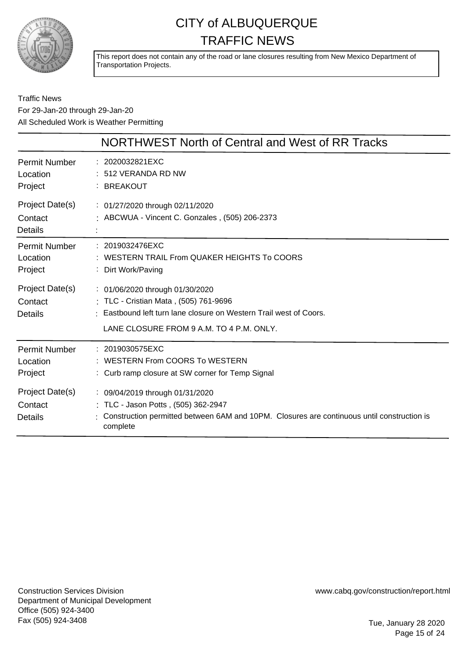

This report does not contain any of the road or lane closures resulting from New Mexico Department of Transportation Projects.

Traffic News For 29-Jan-20 through 29-Jan-20 All Scheduled Work is Weather Permitting

|                                                                                      | NORTHWEST North of Central and West of RR Tracks                                                                                                                                                                                                                              |
|--------------------------------------------------------------------------------------|-------------------------------------------------------------------------------------------------------------------------------------------------------------------------------------------------------------------------------------------------------------------------------|
| <b>Permit Number</b><br>Location<br>Project                                          | : 2020032821EXC<br>512 VERANDA RD NW<br><b>BREAKOUT</b>                                                                                                                                                                                                                       |
| Project Date(s)<br>Contact<br>Details                                                | : 01/27/2020 through 02/11/2020<br>: ABCWUA - Vincent C. Gonzales, (505) 206-2373                                                                                                                                                                                             |
| <b>Permit Number</b><br>Location<br>Project<br>Project Date(s)<br>Contact<br>Details | : 2019032476EXC<br>WESTERN TRAIL From QUAKER HEIGHTS To COORS<br>Dirt Work/Paving<br>: 01/06/2020 through 01/30/2020<br>: TLC - Cristian Mata, (505) 761-9696<br>Eastbound left turn lane closure on Western Trail west of Coors.<br>LANE CLOSURE FROM 9 A.M. TO 4 P.M. ONLY. |
| <b>Permit Number</b><br>Location<br>Project                                          | : 2019030575EXC<br>WESTERN From COORS To WESTERN<br>: Curb ramp closure at SW corner for Temp Signal                                                                                                                                                                          |
| Project Date(s)<br>Contact<br><b>Details</b>                                         | : 09/04/2019 through 01/31/2020<br>: TLC - Jason Potts, (505) 362-2947<br>Construction permitted between 6AM and 10PM. Closures are continuous until construction is<br>complete                                                                                              |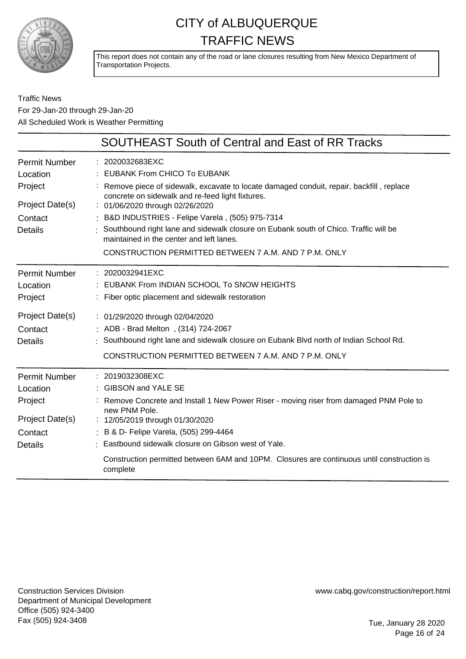

This report does not contain any of the road or lane closures resulting from New Mexico Department of Transportation Projects.

Traffic News For 29-Jan-20 through 29-Jan-20 All Scheduled Work is Weather Permitting

|                                  | <b>SOUTHEAST South of Central and East of RR Tracks</b>                                                                                       |
|----------------------------------|-----------------------------------------------------------------------------------------------------------------------------------------------|
| <b>Permit Number</b><br>Location | : 2020032683EXC<br>: EUBANK From CHICO To EUBANK                                                                                              |
| Project                          | : Remove piece of sidewalk, excavate to locate damaged conduit, repair, backfill, replace<br>concrete on sidewalk and re-feed light fixtures. |
| Project Date(s)                  | : 01/06/2020 through 02/26/2020                                                                                                               |
| Contact                          | : B&D INDUSTRIES - Felipe Varela, (505) 975-7314                                                                                              |
| <b>Details</b>                   | : Southbound right lane and sidewalk closure on Eubank south of Chico. Traffic will be<br>maintained in the center and left lanes.            |
|                                  | CONSTRUCTION PERMITTED BETWEEN 7 A.M. AND 7 P.M. ONLY                                                                                         |
| <b>Permit Number</b>             | : 2020032941EXC                                                                                                                               |
| Location                         | : EUBANK From INDIAN SCHOOL To SNOW HEIGHTS                                                                                                   |
| Project                          | : Fiber optic placement and sidewalk restoration                                                                                              |
| Project Date(s)                  | : 01/29/2020 through 02/04/2020                                                                                                               |
| Contact                          | ADB - Brad Melton, (314) 724-2067                                                                                                             |
| Details                          | Southbound right lane and sidewalk closure on Eubank Blvd north of Indian School Rd.                                                          |
|                                  | CONSTRUCTION PERMITTED BETWEEN 7 A.M. AND 7 P.M. ONLY                                                                                         |
| <b>Permit Number</b>             | $: 2019032308$ EXC                                                                                                                            |
| Location                         | : GIBSON and YALE SE                                                                                                                          |
| Project                          | : Remove Concrete and Install 1 New Power Riser - moving riser from damaged PNM Pole to<br>new PNM Pole.                                      |
| Project Date(s)                  | : 12/05/2019 through 01/30/2020                                                                                                               |
| Contact                          | : B & D- Felipe Varela, (505) 299-4464                                                                                                        |
| <b>Details</b>                   | : Eastbound sidewalk closure on Gibson west of Yale.                                                                                          |
|                                  | Construction permitted between 6AM and 10PM. Closures are continuous until construction is<br>complete                                        |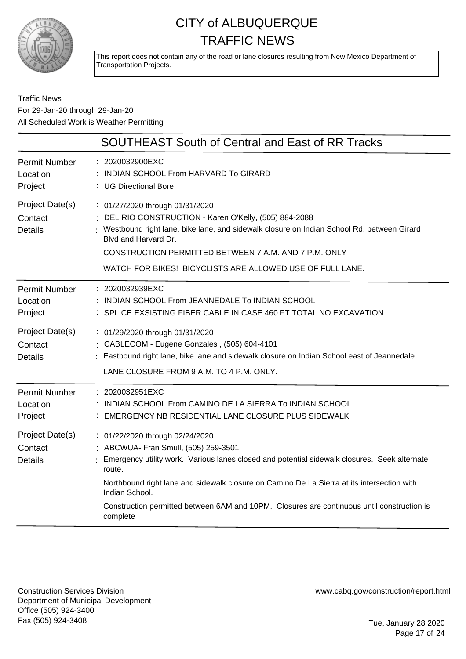

This report does not contain any of the road or lane closures resulting from New Mexico Department of Transportation Projects.

#### Traffic News For 29-Jan-20 through 29-Jan-20 All Scheduled Work is Weather Permitting

| <b>SOUTHEAST South of Central and East of RR Tracks</b>                                                                                                                                                                                                                                                                                                                                                       |
|---------------------------------------------------------------------------------------------------------------------------------------------------------------------------------------------------------------------------------------------------------------------------------------------------------------------------------------------------------------------------------------------------------------|
| : 2020032900EXC<br>INDIAN SCHOOL From HARVARD To GIRARD<br>: UG Directional Bore                                                                                                                                                                                                                                                                                                                              |
| : 01/27/2020 through 01/31/2020<br>: DEL RIO CONSTRUCTION - Karen O'Kelly, (505) 884-2088<br>: Westbound right lane, bike lane, and sidewalk closure on Indian School Rd. between Girard<br>Blvd and Harvard Dr.<br>CONSTRUCTION PERMITTED BETWEEN 7 A.M. AND 7 P.M. ONLY<br>WATCH FOR BIKES! BICYCLISTS ARE ALLOWED USE OF FULL LANE.                                                                        |
| : 2020032939EXC<br>: INDIAN SCHOOL From JEANNEDALE To INDIAN SCHOOL<br>: SPLICE EXSISTING FIBER CABLE IN CASE 460 FT TOTAL NO EXCAVATION.                                                                                                                                                                                                                                                                     |
| : 01/29/2020 through 01/31/2020<br>: CABLECOM - Eugene Gonzales, (505) 604-4101<br>: Eastbound right lane, bike lane and sidewalk closure on Indian School east of Jeannedale.<br>LANE CLOSURE FROM 9 A.M. TO 4 P.M. ONLY.                                                                                                                                                                                    |
| : 2020032951EXC<br>: INDIAN SCHOOL From CAMINO DE LA SIERRA To INDIAN SCHOOL<br>: EMERGENCY NB RESIDENTIAL LANE CLOSURE PLUS SIDEWALK                                                                                                                                                                                                                                                                         |
| : 01/22/2020 through 02/24/2020<br>: ABCWUA- Fran Smull, (505) 259-3501<br>: Emergency utility work. Various lanes closed and potential sidewalk closures. Seek alternate<br>route.<br>Northbound right lane and sidewalk closure on Camino De La Sierra at its intersection with<br>Indian School.<br>Construction permitted between 6AM and 10PM. Closures are continuous until construction is<br>complete |
|                                                                                                                                                                                                                                                                                                                                                                                                               |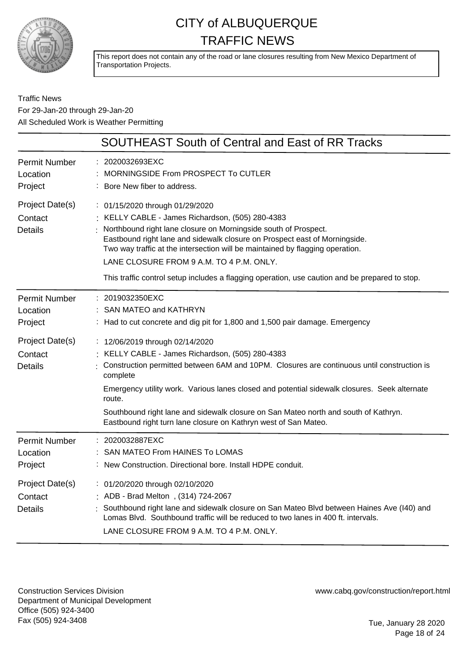

This report does not contain any of the road or lane closures resulting from New Mexico Department of Transportation Projects.

Traffic News For 29-Jan-20 through 29-Jan-20 All Scheduled Work is Weather Permitting

|                                                                                             | <b>SOUTHEAST South of Central and East of RR Tracks</b>                                                                                                                                                                                                                                                                                                                                                                                                                                                                                                                                            |
|---------------------------------------------------------------------------------------------|----------------------------------------------------------------------------------------------------------------------------------------------------------------------------------------------------------------------------------------------------------------------------------------------------------------------------------------------------------------------------------------------------------------------------------------------------------------------------------------------------------------------------------------------------------------------------------------------------|
| <b>Permit Number</b><br>Location<br>Project                                                 | : 2020032693EXC<br>MORNINGSIDE From PROSPECT To CUTLER<br>: Bore New fiber to address.                                                                                                                                                                                                                                                                                                                                                                                                                                                                                                             |
| Project Date(s)<br>Contact<br><b>Details</b>                                                | : 01/15/2020 through 01/29/2020<br>: KELLY CABLE - James Richardson, (505) 280-4383<br>: Northbound right lane closure on Morningside south of Prospect.<br>Eastbound right lane and sidewalk closure on Prospect east of Morningside.<br>Two way traffic at the intersection will be maintained by flagging operation.<br>LANE CLOSURE FROM 9 A.M. TO 4 P.M. ONLY.<br>This traffic control setup includes a flagging operation, use caution and be prepared to stop.                                                                                                                              |
| <b>Permit Number</b><br>Location<br>Project<br>Project Date(s)<br>Contact<br><b>Details</b> | $: 2019032350$ EXC<br>SAN MATEO and KATHRYN<br>: Had to cut concrete and dig pit for 1,800 and 1,500 pair damage. Emergency<br>: 12/06/2019 through 02/14/2020<br>: KELLY CABLE - James Richardson, (505) 280-4383<br>: Construction permitted between 6AM and 10PM. Closures are continuous until construction is<br>complete<br>Emergency utility work. Various lanes closed and potential sidewalk closures. Seek alternate<br>route.<br>Southbound right lane and sidewalk closure on San Mateo north and south of Kathryn.<br>Eastbound right turn lane closure on Kathryn west of San Mateo. |
| <b>Permit Number</b><br>Location<br>Project                                                 | : 2020032887EXC<br><b>SAN MATEO From HAINES To LOMAS</b><br>New Construction. Directional bore. Install HDPE conduit.                                                                                                                                                                                                                                                                                                                                                                                                                                                                              |
| Project Date(s)<br>Contact<br><b>Details</b>                                                | : 01/20/2020 through 02/10/2020<br>: ADB - Brad Melton, (314) 724-2067<br>: Southbound right lane and sidewalk closure on San Mateo Blvd between Haines Ave (I40) and<br>Lomas Blvd. Southbound traffic will be reduced to two lanes in 400 ft. intervals.<br>LANE CLOSURE FROM 9 A.M. TO 4 P.M. ONLY.                                                                                                                                                                                                                                                                                             |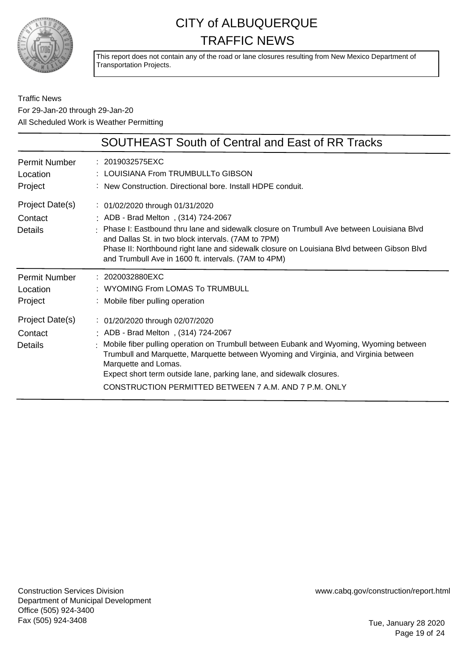

This report does not contain any of the road or lane closures resulting from New Mexico Department of Transportation Projects.

Traffic News For 29-Jan-20 through 29-Jan-20 All Scheduled Work is Weather Permitting

|                                              | SOUTHEAST South of Central and East of RR Tracks                                                                                                                                                                                                                                                                                                                                                                  |
|----------------------------------------------|-------------------------------------------------------------------------------------------------------------------------------------------------------------------------------------------------------------------------------------------------------------------------------------------------------------------------------------------------------------------------------------------------------------------|
| <b>Permit Number</b><br>Location<br>Project  | : 2019032575EXC<br>: LOUISIANA From TRUMBULLTo GIBSON<br>: New Construction. Directional bore. Install HDPE conduit.                                                                                                                                                                                                                                                                                              |
| Project Date(s)<br>Contact<br><b>Details</b> | : 01/02/2020 through 01/31/2020<br>ADB - Brad Melton, (314) 724-2067<br>Phase I: Eastbound thru lane and sidewalk closure on Trumbull Ave between Louisiana Blvd<br>and Dallas St. in two block intervals. (7AM to 7PM)<br>Phase II: Northbound right lane and sidewalk closure on Louisiana Blvd between Gibson Blvd<br>and Trumbull Ave in 1600 ft. intervals. (7AM to 4PM)                                     |
| <b>Permit Number</b><br>Location<br>Project  | $: 2020032880$ EXC<br>: WYOMING From LOMAS To TRUMBULL<br>Mobile fiber pulling operation                                                                                                                                                                                                                                                                                                                          |
| Project Date(s)<br>Contact<br>Details        | : 01/20/2020 through 02/07/2020<br>ADB - Brad Melton, (314) 724-2067<br>: Mobile fiber pulling operation on Trumbull between Eubank and Wyoming, Wyoming between<br>Trumbull and Marquette, Marquette between Wyoming and Virginia, and Virginia between<br>Marquette and Lomas.<br>Expect short term outside lane, parking lane, and sidewalk closures.<br>CONSTRUCTION PERMITTED BETWEEN 7 A.M. AND 7 P.M. ONLY |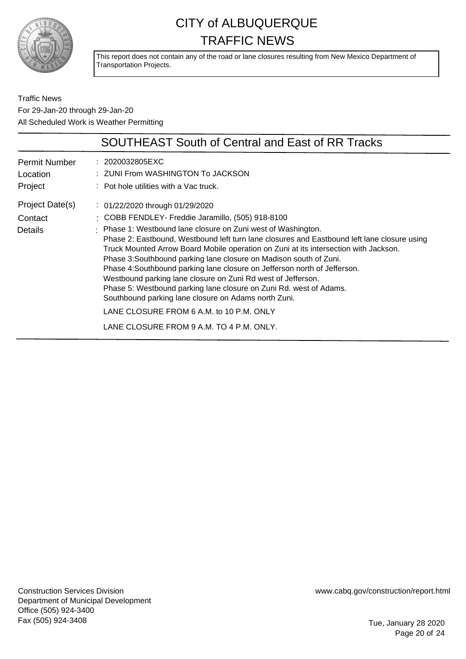

This report does not contain any of the road or lane closures resulting from New Mexico Department of Transportation Projects.

Traffic News For 29-Jan-20 through 29-Jan-20 All Scheduled Work is Weather Permitting

|                      | <b>SOUTHEAST South of Central and East of RR Tracks</b>                                                                                                                                                                                                                                                                                                                                                                                                                                                                                                                                                                                           |
|----------------------|---------------------------------------------------------------------------------------------------------------------------------------------------------------------------------------------------------------------------------------------------------------------------------------------------------------------------------------------------------------------------------------------------------------------------------------------------------------------------------------------------------------------------------------------------------------------------------------------------------------------------------------------------|
| <b>Permit Number</b> | : 2020032805EXC                                                                                                                                                                                                                                                                                                                                                                                                                                                                                                                                                                                                                                   |
| Location             | : ZUNI From WASHINGTON To JACKSON                                                                                                                                                                                                                                                                                                                                                                                                                                                                                                                                                                                                                 |
| Project              | $\therefore$ Pot hole utilities with a Vac truck.                                                                                                                                                                                                                                                                                                                                                                                                                                                                                                                                                                                                 |
| Project Date(s)      | $\therefore$ 01/22/2020 through 01/29/2020                                                                                                                                                                                                                                                                                                                                                                                                                                                                                                                                                                                                        |
| Contact              | : COBB FENDLEY- Freddie Jaramillo, (505) 918-8100                                                                                                                                                                                                                                                                                                                                                                                                                                                                                                                                                                                                 |
| <b>Details</b>       | : Phase 1: Westbound lane closure on Zuni west of Washington.<br>Phase 2: Eastbound, Westbound left turn lane closures and Eastbound left lane closure using<br>Truck Mounted Arrow Board Mobile operation on Zuni at its intersection with Jackson.<br>Phase 3: Southbound parking lane closure on Madison south of Zuni.<br>Phase 4: Southbound parking lane closure on Jefferson north of Jefferson.<br>Westbound parking lane closure on Zuni Rd west of Jefferson.<br>Phase 5: Westbound parking lane closure on Zuni Rd. west of Adams.<br>Southbound parking lane closure on Adams north Zuni.<br>LANE CLOSURE FROM 6 A.M. to 10 P.M. ONLY |
|                      |                                                                                                                                                                                                                                                                                                                                                                                                                                                                                                                                                                                                                                                   |
|                      | LANE CLOSURE FROM 9 A.M. TO 4 P.M. ONLY.                                                                                                                                                                                                                                                                                                                                                                                                                                                                                                                                                                                                          |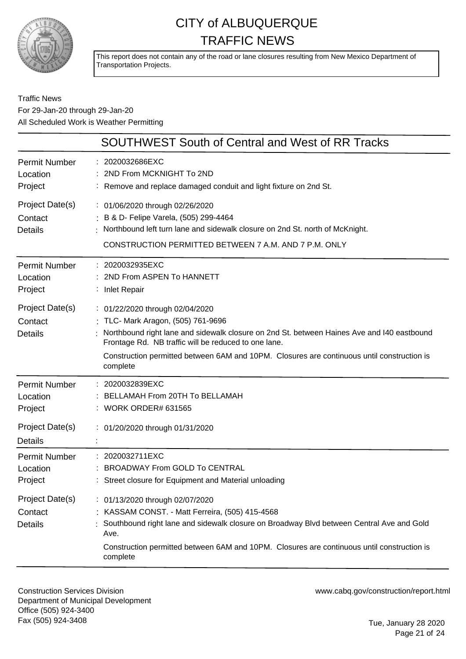

This report does not contain any of the road or lane closures resulting from New Mexico Department of Transportation Projects.

#### Traffic News For 29-Jan-20 through 29-Jan-20 All Scheduled Work is Weather Permitting

|                                                                           | SOUTHWEST South of Central and West of RR Tracks                                                                                                                                                                                                                                                                                      |
|---------------------------------------------------------------------------|---------------------------------------------------------------------------------------------------------------------------------------------------------------------------------------------------------------------------------------------------------------------------------------------------------------------------------------|
| <b>Permit Number</b><br>Location<br>Project                               | 2020032686EXC<br>2ND From MCKNIGHT To 2ND<br>: Remove and replace damaged conduit and light fixture on 2nd St.                                                                                                                                                                                                                        |
| Project Date(s)<br>Contact<br><b>Details</b>                              | : 01/06/2020 through 02/26/2020<br>: B & D- Felipe Varela, (505) 299-4464<br>Northbound left turn lane and sidewalk closure on 2nd St. north of McKnight.<br>CONSTRUCTION PERMITTED BETWEEN 7 A.M. AND 7 P.M. ONLY                                                                                                                    |
| <b>Permit Number</b><br>Location<br>Project                               | : 2020032935EXC<br>2ND From ASPEN To HANNETT<br>: Inlet Repair                                                                                                                                                                                                                                                                        |
| Project Date(s)<br>Contact<br><b>Details</b>                              | : 01/22/2020 through 02/04/2020<br>: TLC- Mark Aragon, (505) 761-9696<br>Northbound right lane and sidewalk closure on 2nd St. between Haines Ave and I40 eastbound<br>Frontage Rd. NB traffic will be reduced to one lane.<br>Construction permitted between 6AM and 10PM. Closures are continuous until construction is<br>complete |
| <b>Permit Number</b><br>Location<br>Project<br>Project Date(s)<br>Details | : 2020032839EXC<br>BELLAMAH From 20TH To BELLAMAH<br>: WORK ORDER# 631565<br>: 01/20/2020 through 01/31/2020                                                                                                                                                                                                                          |
| <b>Permit Number</b><br>Location<br>Project<br>Project Date(s)            | : 2020032711EXC<br><b>BROADWAY From GOLD To CENTRAL</b><br>: Street closure for Equipment and Material unloading<br>: 01/13/2020 through 02/07/2020                                                                                                                                                                                   |
| Contact<br><b>Details</b>                                                 | KASSAM CONST. - Matt Ferreira, (505) 415-4568<br>Southbound right lane and sidewalk closure on Broadway Blvd between Central Ave and Gold<br>Ave.<br>Construction permitted between 6AM and 10PM. Closures are continuous until construction is<br>complete                                                                           |

Construction Services Division Department of Municipal Development Office (505) 924-3400 Fax (505) 924-3408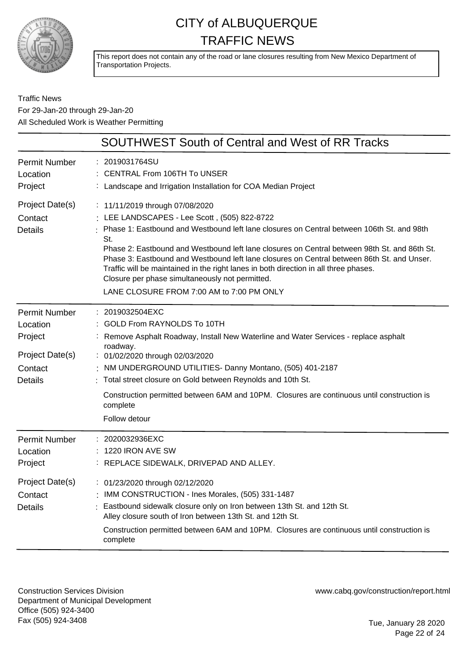

This report does not contain any of the road or lane closures resulting from New Mexico Department of Transportation Projects.

Traffic News For 29-Jan-20 through 29-Jan-20 All Scheduled Work is Weather Permitting

|                                                                                             | <b>SOUTHWEST South of Central and West of RR Tracks</b>                                                                                                                                                                                                                                                                                                                                                                                                                                                                                                                   |
|---------------------------------------------------------------------------------------------|---------------------------------------------------------------------------------------------------------------------------------------------------------------------------------------------------------------------------------------------------------------------------------------------------------------------------------------------------------------------------------------------------------------------------------------------------------------------------------------------------------------------------------------------------------------------------|
| <b>Permit Number</b><br>Location<br>Project                                                 | 2019031764SU<br><b>CENTRAL From 106TH To UNSER</b><br>: Landscape and Irrigation Installation for COA Median Project                                                                                                                                                                                                                                                                                                                                                                                                                                                      |
| Project Date(s)<br>Contact<br><b>Details</b>                                                | : 11/11/2019 through 07/08/2020<br>: LEE LANDSCAPES - Lee Scott, (505) 822-8722<br>Phase 1: Eastbound and Westbound left lane closures on Central between 106th St. and 98th<br>St.<br>Phase 2: Eastbound and Westbound left lane closures on Central between 98th St. and 86th St.<br>Phase 3: Eastbound and Westbound left lane closures on Central between 86th St. and Unser.<br>Traffic will be maintained in the right lanes in both direction in all three phases.<br>Closure per phase simultaneously not permitted.<br>LANE CLOSURE FROM 7:00 AM to 7:00 PM ONLY |
| <b>Permit Number</b><br>Location<br>Project<br>Project Date(s)<br>Contact<br><b>Details</b> | 2019032504EXC<br>GOLD From RAYNOLDS To 10TH<br>Remove Asphalt Roadway, Install New Waterline and Water Services - replace asphalt<br>roadway.<br>: 01/02/2020 through 02/03/2020<br>NM UNDERGROUND UTILITIES- Danny Montano, (505) 401-2187<br>: Total street closure on Gold between Reynolds and 10th St.<br>Construction permitted between 6AM and 10PM. Closures are continuous until construction is<br>complete<br>Follow detour                                                                                                                                    |
| <b>Permit Number</b><br>Location<br>Project<br>Project Date(s)<br>Contact<br><b>Details</b> | 2020032936EXC<br>1220 IRON AVE SW<br>: REPLACE SIDEWALK, DRIVEPAD AND ALLEY.<br>: 01/23/2020 through 02/12/2020<br>: IMM CONSTRUCTION - Ines Morales, (505) 331-1487<br>Eastbound sidewalk closure only on Iron between 13th St. and 12th St.<br>Alley closure south of Iron between 13th St. and 12th St.<br>Construction permitted between 6AM and 10PM. Closures are continuous until construction is<br>complete                                                                                                                                                      |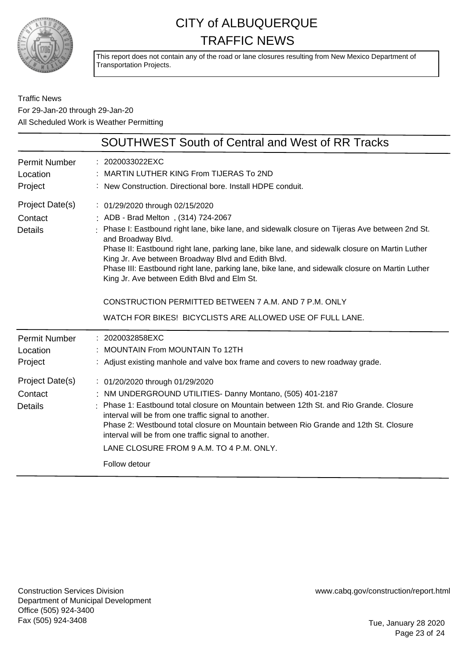

This report does not contain any of the road or lane closures resulting from New Mexico Department of Transportation Projects.

Traffic News For 29-Jan-20 through 29-Jan-20 All Scheduled Work is Weather Permitting

|                                              | <b>SOUTHWEST South of Central and West of RR Tracks</b>                                                                                                                                                                                                                                                                                                                                                                                                                                                                                                                                                                         |
|----------------------------------------------|---------------------------------------------------------------------------------------------------------------------------------------------------------------------------------------------------------------------------------------------------------------------------------------------------------------------------------------------------------------------------------------------------------------------------------------------------------------------------------------------------------------------------------------------------------------------------------------------------------------------------------|
| <b>Permit Number</b><br>Location<br>Project  | : 2020033022EXC<br>: MARTIN LUTHER KING From TIJERAS To 2ND<br>: New Construction. Directional bore. Install HDPE conduit.                                                                                                                                                                                                                                                                                                                                                                                                                                                                                                      |
| Project Date(s)<br>Contact<br><b>Details</b> | : 01/29/2020 through 02/15/2020<br>: ADB - Brad Melton, (314) 724-2067<br>: Phase I: Eastbound right lane, bike lane, and sidewalk closure on Tijeras Ave between 2nd St.<br>and Broadway Blvd.<br>Phase II: Eastbound right lane, parking lane, bike lane, and sidewalk closure on Martin Luther<br>King Jr. Ave between Broadway Blvd and Edith Blvd.<br>Phase III: Eastbound right lane, parking lane, bike lane, and sidewalk closure on Martin Luther<br>King Jr. Ave between Edith Blvd and Elm St.<br>CONSTRUCTION PERMITTED BETWEEN 7 A.M. AND 7 P.M. ONLY<br>WATCH FOR BIKES! BICYCLISTS ARE ALLOWED USE OF FULL LANE. |
| <b>Permit Number</b><br>Location<br>Project  | : 2020032858EXC<br>: MOUNTAIN From MOUNTAIN To 12TH<br>: Adjust existing manhole and valve box frame and covers to new roadway grade.                                                                                                                                                                                                                                                                                                                                                                                                                                                                                           |
| Project Date(s)<br>Contact<br><b>Details</b> | : 01/20/2020 through 01/29/2020<br>: NM UNDERGROUND UTILITIES- Danny Montano, (505) 401-2187<br>: Phase 1: Eastbound total closure on Mountain between 12th St. and Rio Grande. Closure<br>interval will be from one traffic signal to another.<br>Phase 2: Westbound total closure on Mountain between Rio Grande and 12th St. Closure<br>interval will be from one traffic signal to another.<br>LANE CLOSURE FROM 9 A.M. TO 4 P.M. ONLY.<br>Follow detour                                                                                                                                                                    |